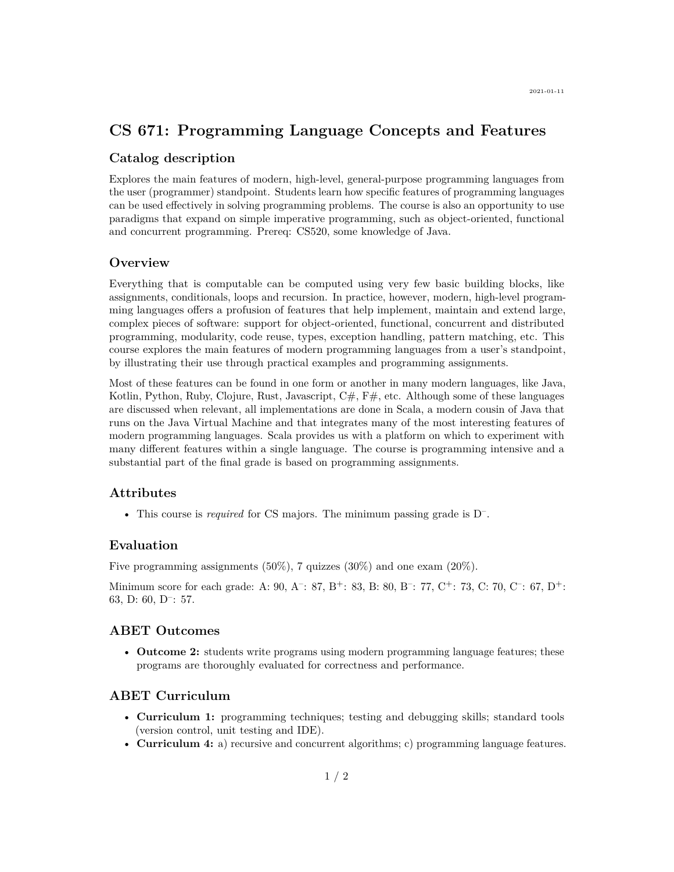# **CS 671: Programming Language Concepts and Features**

### **Catalog description**

Explores the main features of modern, high-level, general-purpose programming languages from the user (programmer) standpoint. Students learn how specific features of programming languages can be used effectively in solving programming problems. The course is also an opportunity to use paradigms that expand on simple imperative programming, such as object-oriented, functional and concurrent programming. Prereq: CS520, some knowledge of Java.

### **Overview**

Everything that is computable can be computed using very few basic building blocks, like assignments, conditionals, loops and recursion. In practice, however, modern, high-level programming languages offers a profusion of features that help implement, maintain and extend large, complex pieces of software: support for object-oriented, functional, concurrent and distributed programming, modularity, code reuse, types, exception handling, pattern matching, etc. This course explores the main features of modern programming languages from a user's standpoint, by illustrating their use through practical examples and programming assignments.

Most of these features can be found in one form or another in many modern languages, like Java, Kotlin, Python, Ruby, Clojure, Rust, Javascript,  $C\#$ ,  $F\#$ , etc. Although some of these languages are discussed when relevant, all implementations are done in [Scala,](http://www.scala-lang.org) a modern cousin of Java that runs on the Java Virtual Machine and that integrates many of the most interesting features of modern programming languages. Scala provides us with a platform on which to experiment with many different features within a single language. The course is programming intensive and a substantial part of the final grade is based on programming assignments.

# **Attributes**

• This course is *required* for CS majors. The minimum passing grade is D– .

### **Evaluation**

Five programming assignments  $(50\%)$ , 7 quizzes  $(30\%)$  and one exam  $(20\%)$ .

Minimum score for each grade: A: 90, A<sup>-</sup>: 87, B<sup>+</sup>: 83, B: 80, B<sup>-</sup>: 77, C<sup>+</sup>: 73, C: 70, C<sup>-</sup>: 67, D<sup>+</sup>: 63, D: 60, D– : 57.

#### **ABET Outcomes**

• **Outcome 2:** students write programs using modern programming language features; these programs are thoroughly evaluated for correctness and performance.

## **ABET Curriculum**

- **Curriculum 1:** programming techniques; testing and debugging skills; standard tools (version control, unit testing and IDE).
- **Curriculum 4:** a) recursive and concurrent algorithms; c) programming language features.